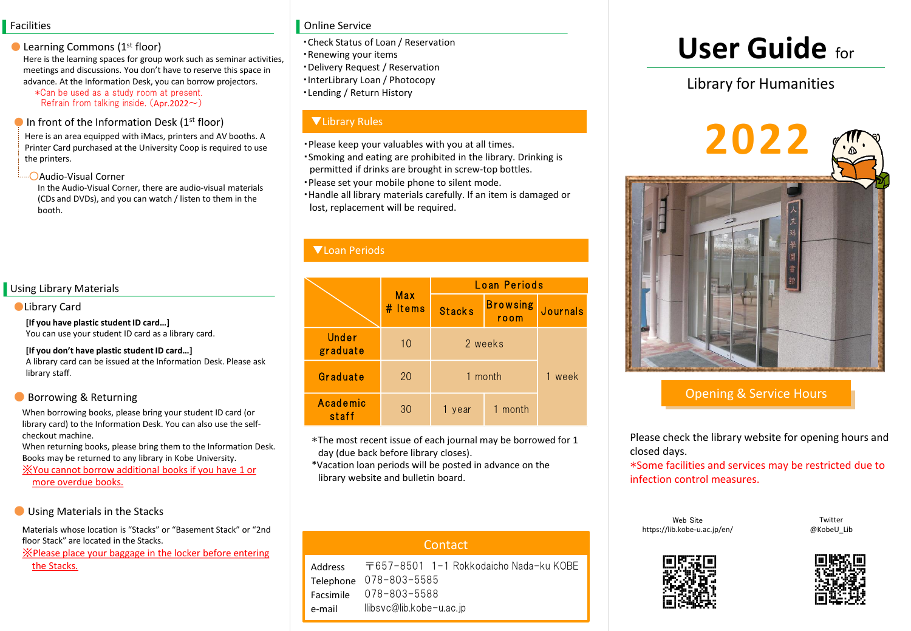#### Facilities

#### $\bullet$  Learning Commons (1<sup>st</sup> floor)

Here is the learning spaces for group work such as seminar activities, meetings and discussions. You don't have to reserve this space in advance. At the Information Desk, you can borrow projectors.

\*Can be used as a study room at present. Refrain from talking inside. (Apr.2022 $\sim$ )

#### In front of the Information Desk (1<sup>st</sup> floor)

Here is an area equipped with iMacs, printers and AV booths. A Printer Card purchased at the University Coop is required to use the printers.

○Audio-Visual Corner

In the Audio-Visual Corner, there are audio-visual materials (CDs and DVDs), and you can watch / listen to them in the booth.

#### **Using Library Materials**

#### ●Library Card

**[If you have plastic student ID card…]** 

You can use your student ID card as a library card.

**[If you don't have plastic student ID card…]**  A library card can be issued at the Information Desk. Please ask library staff.

#### ● Borrowing & Returning

When borrowing books, please bring your student ID card (or library card) to the Information Desk. You can also use the selfcheckout machine.

When returning books, please bring them to the Information Desk. Books may be returned to any library in Kobe University.

※You cannot borrow additional books if you have 1 or more overdue books.

#### ● Using Materials in the Stacks

Materials whose location is "Stacks" or "Basement Stack" or "2nd floor Stack" are located in the Stacks.

※Please place your baggage in the locker before entering the Stacks.

#### Online Service

・Check Status of Loan / Reservation ・Renewing your items ・Delivery Request / Reservation ・InterLibrary Loan / Photocopy ・Lending / Return History

#### ▼Library Rules

・Please keep your valuables with you at all times.

・Smoking and eating are prohibited in the library. Drinking is permitted if drinks are brought in screw-top bottles. ・Please set your mobile phone to silent mode.

・Handle all library materials carefully. If an item is damaged or lost, replacement will be required.

#### ▼Loan Periods

|                   |                | Loan Periods  |                         |          |
|-------------------|----------------|---------------|-------------------------|----------|
|                   | Max<br># Items | <b>Stacks</b> | <b>Browsing</b><br>room | Journals |
| Under<br>graduate | 10             | 2 weeks       |                         |          |
| Graduate          | 20             | 1 month       |                         | week     |
| Academic<br>staff | 30             | 1 year        | 1 month                 |          |

\*The most recent issue of each journal may be borrowed for 1 day (due back before library closes).

\*Vacation loan periods will be posted in advance on the library website and bulletin board.

# **User Guide** for

### Library for Humanities



#### Opening & Service Hours

Please check the library website for opening hours and closed days.

\*Some facilities and services may be restricted due to infection control measures.

Web Site https://lib.kobe-u.ac.jp/en/

Twitter @KobeU\_Lib





## **Contact**

〒657-8501 1-1 Rokkodaicho Nada-ku KOBE 078-803-5585 Telephone 078-803-5588 llibsvc@lib.kobe-u.ac.jp Address Facsimile e-mail